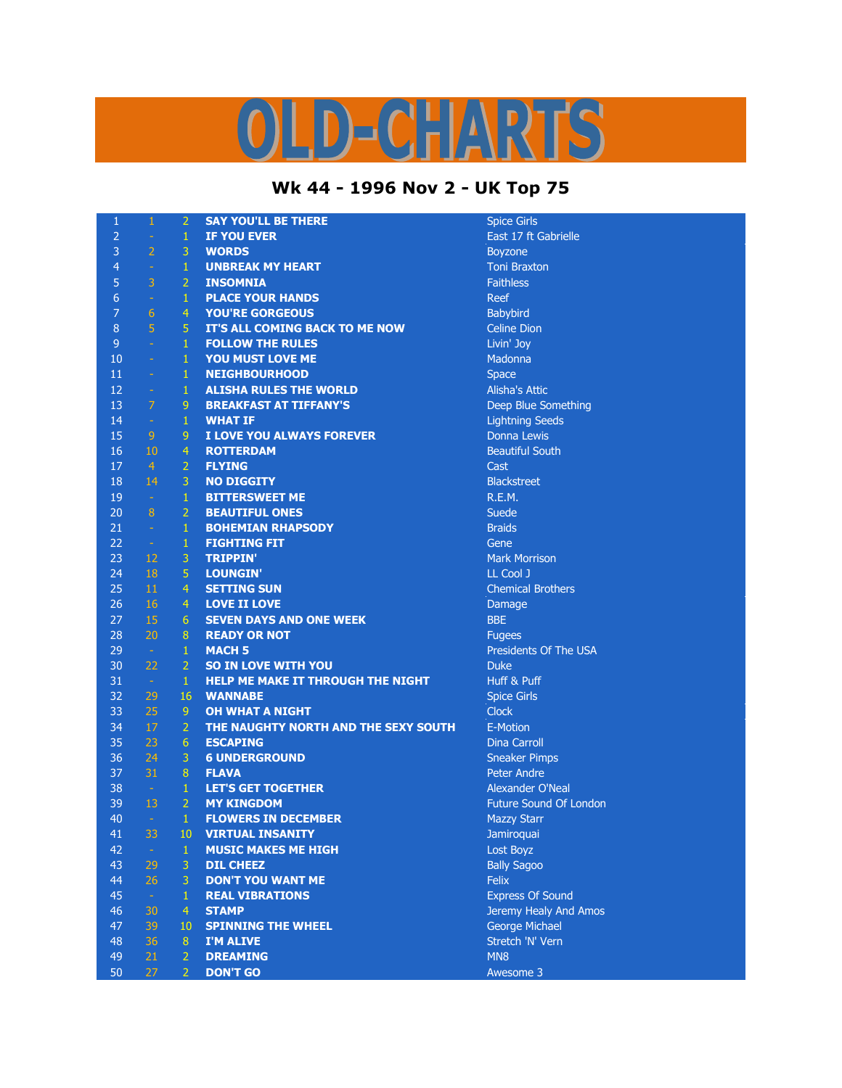## OLD-CHARTS

## **Wk 44 - 1996 Nov 2 - UK Top 75**

| $\mathbf{1}$   | $\mathbf 1$     | $\overline{2}$ | <b>SAY YOU'LL BE THERE</b>           | <b>Spice Gir</b> |
|----------------|-----------------|----------------|--------------------------------------|------------------|
| $\overline{2}$ | $\omega$        | $\mathbf{1}$   | <b>IF YOU EVER</b>                   | East 171         |
| 3              | $\overline{2}$  | 3              | <b>WORDS</b>                         | Boyzone          |
| $\overline{4}$ | $\omega$        | $\mathbf{1}$   | <b>UNBREAK MY HEART</b>              | Toni Bra:        |
| 5              | $\overline{3}$  | $\overline{2}$ | <b>INSOMNIA</b>                      | <b>Faithless</b> |
| $6\phantom{1}$ | $\omega$        | $\mathbf{1}$   | <b>PLACE YOUR HANDS</b>              | <b>Reef</b>      |
| $\overline{7}$ | 6               | $\overline{4}$ | <b>YOU'RE GORGEOUS</b>               | Babybird         |
| $\bf 8$        | $\overline{5}$  | 5              | IT'S ALL COMING BACK TO ME NOW       | Celine Di        |
| $\overline{9}$ | $\equiv$        | $\mathbf{1}$   | <b>FOLLOW THE RULES</b>              | Livin' Joy       |
| 10             | $\omega$        | $\mathbf{1}$   | YOU MUST LOVE ME                     | Madonna          |
| 11             | ÷               | $\mathbf{1}$   | <b>NEIGHBOURHOOD</b>                 | <b>Space</b>     |
| 12             | $\omega$        | $\mathbf{1}$   | <b>ALISHA RULES THE WORLD</b>        | Alisha's /       |
| 13             | $\overline{7}$  | 9              | <b>BREAKFAST AT TIFFANY'S</b>        | Deep Blu         |
| 14             | $\pm$           | $\mathbf{1}$   | <b>WHAT IF</b>                       | Lightning        |
| 15             | 9               | 9              | I LOVE YOU ALWAYS FOREVER            | Donna L          |
| 16             | 10              | $\overline{4}$ | <b>ROTTERDAM</b>                     | <b>Beautiful</b> |
| 17             | $\overline{4}$  | $\overline{2}$ | <b>FLYING</b>                        | Cast             |
| 18             | 14              | 3              | <b>NO DIGGITY</b>                    | <b>Blackstre</b> |
| 19             | $\sim$          | $\mathbf{1}$   | <b>BITTERSWEET ME</b>                | R.E.M.           |
| 20             | $\, 8$          | $\overline{2}$ | <b>BEAUTIFUL ONES</b>                | Suede            |
| 21             | $\omega$        | $\mathbf{1}$   | <b>BOHEMIAN RHAPSODY</b>             | <b>Braids</b>    |
| 22             | $\pm$           | $\mathbf{1}$   | <b>FIGHTING FIT</b>                  | Gene             |
| 23             | 12              | 3              | <b>TRIPPIN'</b>                      | Mark Mo          |
| 24             | 18              | 5              | <b>LOUNGIN'</b>                      | LL Cool:         |
| 25             | 11              | $\overline{4}$ | <b>SETTING SUN</b>                   | Chemica          |
| 26             | 16              | $\overline{4}$ | <b>LOVE II LOVE</b>                  | Damage           |
| 27             | 15              | 6              | <b>SEVEN DAYS AND ONE WEEK</b>       | <b>BBE</b>       |
| 28             | 20              | $\bf 8$        | <b>READY OR NOT</b>                  | <b>Fugees</b>    |
| 29             | $\sim$          | $\mathbf{1}$   | <b>MACH 5</b>                        | Presiden         |
| 30             | 22              | $\overline{2}$ | <b>SO IN LOVE WITH YOU</b>           | <b>Duke</b>      |
| 31             | $\sim$          | $\mathbf{1}$   | HELP ME MAKE IT THROUGH THE NIGHT    | Huff & P         |
| 32             | 29              | 16             | <b>WANNABE</b>                       | Spice Gir        |
| 33             | 25              | 9              | <b>OH WHAT A NIGHT</b>               | <b>Clock</b>     |
| 34             | 17              | $\overline{2}$ | THE NAUGHTY NORTH AND THE SEXY SOUTH | E-Motion         |
| 35             | 23              | $6\phantom{1}$ | <b>ESCAPING</b>                      | Dina Car         |
| 36             | 24              | 3              | <b>6 UNDERGROUND</b>                 | Sneaker          |
| 37             | 31              | $\bf 8$        | <b>FLAVA</b>                         | Peter An         |
| 38             | $\sim$          | $\mathbf{1}$   | <b>LET'S GET TOGETHER</b>            | Alexande         |
| 39             | 13              | $\overline{2}$ | <b>MY KINGDOM</b>                    | <b>Future S</b>  |
| 40             | $\sim$          | $\mathbf{1}$   | <b>FLOWERS IN DECEMBER</b>           | <b>Mazzy St</b>  |
| 41             | 33              | 10             | <b>VIRTUAL INSANITY</b>              | Jamiroqu         |
| 42             | $\sim$          | $\mathbf{1}$   | <b>MUSIC MAKES ME HIGH</b>           | Lost Boy         |
| 43             | 29              | 3              | <b>DIL CHEEZ</b>                     | <b>Bally Sag</b> |
| 44             | 26              | 3              | <b>DON'T YOU WANT ME</b>             | <b>Felix</b>     |
| 45             | $\sim$          | $\mathbf{1}$   | <b>REAL VIBRATIONS</b>               | <b>Express</b>   |
| 46             | 30              | $\overline{4}$ | <b>STAMP</b>                         | Jeremy <b>H</b>  |
| 47             | 39              | 10             | <b>SPINNING THE WHEEL</b>            | George I         |
| 48             | 36              | 8              | I'M ALIVE                            | Stretch 'I       |
| 49             | 21              | $\overline{2}$ | <b>DREAMING</b>                      | MN <sub>8</sub>  |
| 50             | 27 <sub>1</sub> | $\mathcal{D}$  | DON'T GO                             | Awesom           |

**Spice Girls East 17 ft Gabrielle Boyzone Toni Braxton Babybird Celine Dion Livin' Joy Madonna** Alisha's Attic Deep Blue Something **Lightning Seeds Donna Lewis Beautiful South Blackstreet Mark Morrison** LL Cool J **Chemical Brothers** Damage Presidents Of The USA Huff & Puff **Spice Girls** E-Motion **Dina Carroll Sneaker Pimps** Peter Andre Alexander O'Neal Future Sound Of London **Mazzy Starr** 41 33 10 **VIRTUAL INSANITY** Jamiroquai **Lost Boyz Bally Sagoo Express Of Sound Jeremy Healy And Amos George Michael** Stretch 'N' Vern Awesome 3